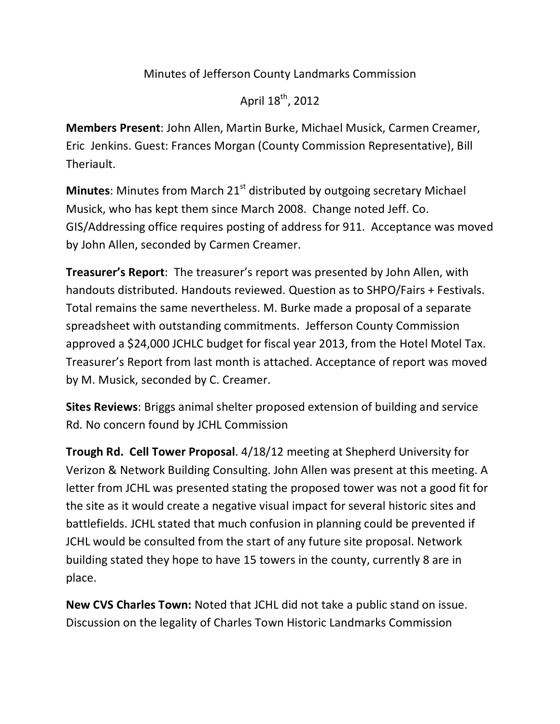## Minutes of Jefferson County Landmarks Commission

April  $18^{th}$ , 2012

**Members Present**: John Allen, Martin Burke, Michael Musick, Carmen Creamer, Eric Jenkins. Guest: Frances Morgan (County Commission Representative), Bill Theriault.

**Minutes:** Minutes from March 21<sup>st</sup> distributed by outgoing secretary Michael Musick, who has kept them since March 2008. Change noted Jeff. Co. GIS/Addressing office requires posting of address for 911. Acceptance was moved by John Allen, seconded by Carmen Creamer.

**Treasurer's Report**: The treasurer's report was presented by John Allen, with handouts distributed. Handouts reviewed. Question as to SHPO/Fairs + Festivals. Total remains the same nevertheless. M. Burke made a proposal of a separate spreadsheet with outstanding commitments. Jefferson County Commission approved a \$24,000 JCHLC budget for fiscal year 2013, from the Hotel Motel Tax. Treasurer's Report from last month is attached. Acceptance of report was moved by M. Musick, seconded by C. Creamer.

**Sites Reviews:** Briggs animal shelter proposed extension of building and service Rd. No concern found by JCHL Commission

**Trough Rd. Cell Tower Proposal.** 4/18/12 meeting at Shepherd University for Verizon & Network Building Consulting. John Allen was present at this meeting. A letter from JCHL was presented stating the proposed tower was not a good fit for the site as it would create a negative visual impact for several historic sites and battlefields. JCHL stated that much confusion in planning could be prevented if JCHL would be consulted from the start of any future site proposal. Network building stated they hope to have 15 towers in the county, currently 8 are in place.

**New CVS Charles Town:** Noted that JCHL did not take a public stand on issue. Discussion on the legality of Charles Town Historic Landmarks Commission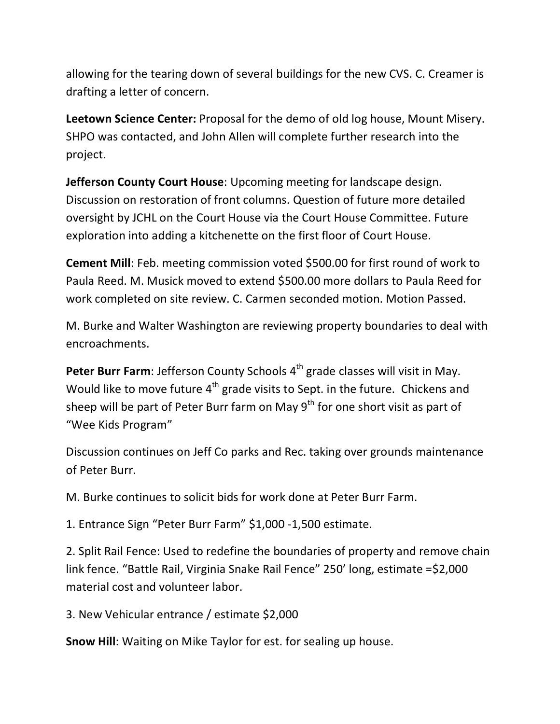allowing for the tearing down of several buildings for the new CVS. C. Creamer is drafting a letter of concern.

Leetown Science Center: Proposal for the demo of old log house, Mount Misery. SHPO was contacted, and John Allen will complete further research into the project.

**Jefferson County Court House:** Upcoming meeting for landscape design. Discussion on restoration of front columns. Question of future more detailed oversight by JCHL on the Court House via the Court House Committee. Future exploration into adding a kitchenette on the first floor of Court House.

**Cement Mill**: Feb. meeting commission voted \$500.00 for first round of work to Paula Reed. M. Musick moved to extend \$500.00 more dollars to Paula Reed for work completed on site review. C. Carmen seconded motion. Motion Passed.

M. Burke and Walter Washington are reviewing property boundaries to deal with encroachments.

**Peter Burr Farm**: Jefferson County Schools 4<sup>th</sup> grade classes will visit in May. Would like to move future  $4^{th}$  grade visits to Sept. in the future. Chickens and sheep will be part of Peter Burr farm on May  $9<sup>th</sup>$  for one short visit as part of "Wee Kids Program"

Discussion continues on Jeff Co parks and Rec. taking over grounds maintenance of Peter Burr.

M. Burke continues to solicit bids for work done at Peter Burr Farm.

1. Entrance Sign "Peter Burr Farm" \$1,000 -1,500 estimate.

2. Split Rail Fence: Used to redefine the boundaries of property and remove chain link fence. "Battle Rail, Virginia Snake Rail Fence" 250' long, estimate =\$2,000 material cost and volunteer labor.

3. New Vehicular entrance / estimate \$2,000

**Snow Hill:** Waiting on Mike Taylor for est. for sealing up house.